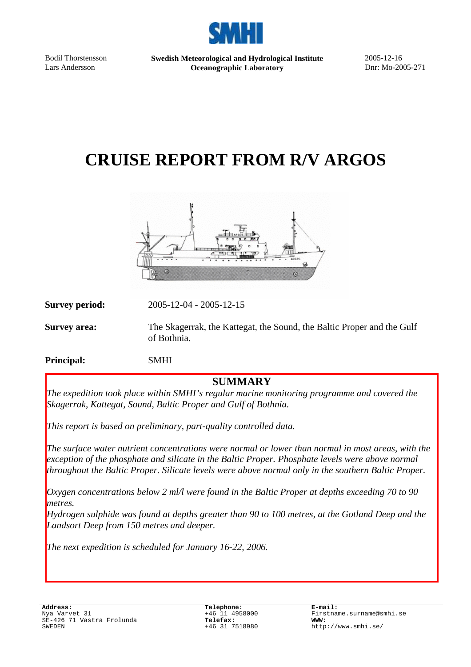

Bodil Thorstensson Lars Andersson

**Swedish Meteorological and Hydrological Institute Oceanographic Laboratory** 

2005-12-16 Dnr: Mo-2005-271

# **CRUISE REPORT FROM R/V ARGOS**



**Survey period:** 

**Survey period:** 2005-12-04 - 2005-12-15

**Survey area:** The Skagerrak, the Kattegat, the Sound, the Baltic Proper and the Gulf of Bothnia.

**Principal:** SMHI

## **SUMMARY**

*The expedition took place within SMHI's regular marine monitoring programme and covered the Skagerrak, Kattegat, Sound, Baltic Proper and Gulf of Bothnia.* 

*This report is based on preliminary, part-quality controlled data.* 

 *throughout the Baltic Proper. Silicate levels were above normal only in the southern Baltic Proper. The surface water nutrient concentrations were normal or lower than normal in most areas, with the exception of the phosphate and silicate in the Baltic Proper. Phosphate levels were above normal* 

*Oxygen concentrations below 2 ml/l were found in the Baltic Proper at depths exceeding 70 to 90 metres.* 

*Hydrogen sulphide was found at depths greater than 90 to 100 metres, at the Gotland Deep and the Landsort Deep from 150 metres and deeper.* 

*The next expedition is scheduled for January 16-22, 2006.*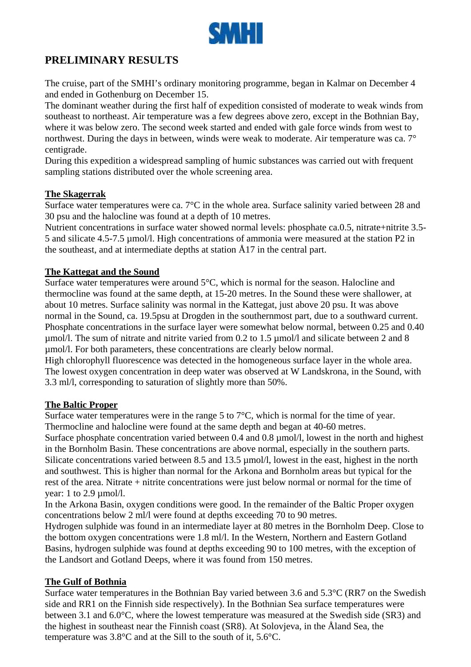

# **PRELIMINARY RESULTS**

The cruise, part of the SMHI's ordinary monitoring programme, began in Kalmar on December 4 and ended in Gothenburg on December 15.

The dominant weather during the first half of expedition consisted of moderate to weak winds from southeast to northeast. Air temperature was a few degrees above zero, except in the Bothnian Bay, where it was below zero. The second week started and ended with gale force winds from west to northwest. During the days in between, winds were weak to moderate. Air temperature was ca. 7° centigrade.

During this expedition a widespread sampling of humic substances was carried out with frequent sampling stations distributed over the whole screening area.

#### **The Skagerrak**

Surface water temperatures were ca. 7°C in the whole area. Surface salinity varied between 28 and 30 psu and the halocline was found at a depth of 10 metres.

Nutrient concentrations in surface water showed normal levels: phosphate ca.0.5, nitrate+nitrite 3.5- 5 and silicate 4.5-7.5 µmol/l. High concentrations of ammonia were measured at the station P2 in the southeast, and at intermediate depths at station Å17 in the central part.

#### **The Kattegat and the Sound**

Surface water temperatures were around 5°C, which is normal for the season. Halocline and thermocline was found at the same depth, at 15-20 metres. In the Sound these were shallower, at about 10 metres. Surface salinity was normal in the Kattegat, just above 20 psu. It was above normal in the Sound, ca. 19.5psu at Drogden in the southernmost part, due to a southward current. Phosphate concentrations in the surface layer were somewhat below normal, between 0.25 and 0.40 µmol/l. The sum of nitrate and nitrite varied from 0.2 to 1.5 µmol/l and silicate between 2 and 8 µmol/l. For both parameters, these concentrations are clearly below normal.

High chlorophyll fluorescence was detected in the homogeneous surface layer in the whole area. The lowest oxygen concentration in deep water was observed at W Landskrona, in the Sound, with 3.3 ml/l, corresponding to saturation of slightly more than 50%.

#### **The Baltic Proper**

Surface water temperatures were in the range 5 to  $7^{\circ}$ C, which is normal for the time of year. Thermocline and halocline were found at the same depth and began at 40-60 metres. Surface phosphate concentration varied between 0.4 and 0.8 umol/l, lowest in the north and highest in the Bornholm Basin. These concentrations are above normal, especially in the southern parts. Silicate concentrations varied between 8.5 and 13.5 µmol/l, lowest in the east, highest in the north and southwest. This is higher than normal for the Arkona and Bornholm areas but typical for the rest of the area. Nitrate + nitrite concentrations were just below normal or normal for the time of vear: 1 to 2.9  $\mu$ mol/l.

In the Arkona Basin, oxygen conditions were good. In the remainder of the Baltic Proper oxygen concentrations below 2 ml/l were found at depths exceeding 70 to 90 metres.

Hydrogen sulphide was found in an intermediate layer at 80 metres in the Bornholm Deep. Close to the bottom oxygen concentrations were 1.8 ml/l. In the Western, Northern and Eastern Gotland Basins, hydrogen sulphide was found at depths exceeding 90 to 100 metres, with the exception of the Landsort and Gotland Deeps, where it was found from 150 metres.

#### **The Gulf of Bothnia**

Surface water temperatures in the Bothnian Bay varied between 3.6 and 5.3°C (RR7 on the Swedish side and RR1 on the Finnish side respectively). In the Bothnian Sea surface temperatures were between 3.1 and 6.0°C, where the lowest temperature was measured at the Swedish side (SR3) and the highest in southeast near the Finnish coast (SR8). At Solovjeva, in the Åland Sea, the temperature was 3.8°C and at the Sill to the south of it, 5.6°C.